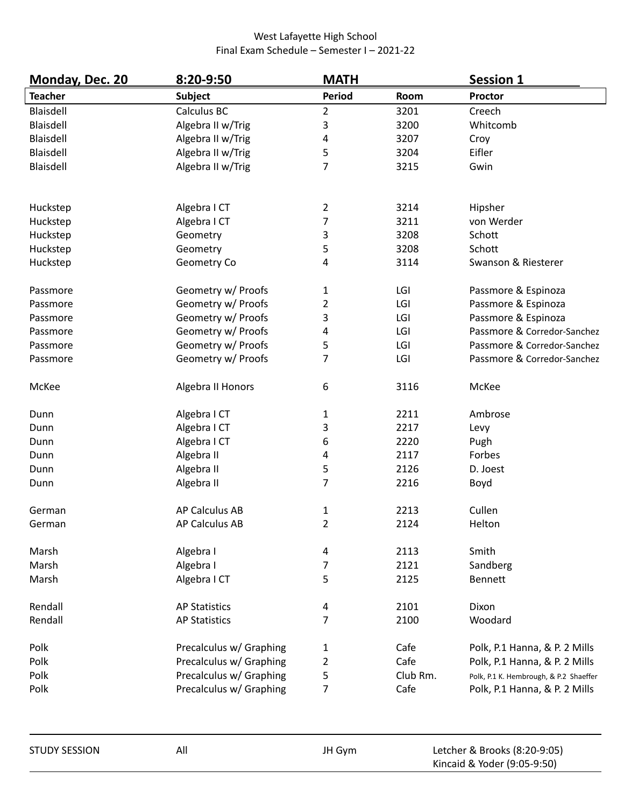| Monday, Dec. 20 | 8:20-9:50               | <b>MATH</b>             |          | <b>Session 1</b>                       |  |
|-----------------|-------------------------|-------------------------|----------|----------------------------------------|--|
| <b>Teacher</b>  | <b>Subject</b>          | Period                  | Room     | <b>Proctor</b>                         |  |
| Blaisdell       | Calculus BC             | $\overline{2}$          | 3201     | Creech                                 |  |
| Blaisdell       | Algebra II w/Trig       | 3                       | 3200     | Whitcomb                               |  |
| Blaisdell       | Algebra II w/Trig       | 4                       | 3207     | Croy                                   |  |
| Blaisdell       | Algebra II w/Trig       | 5                       | 3204     | Eifler                                 |  |
| Blaisdell       | Algebra II w/Trig       | $\overline{7}$          | 3215     | Gwin                                   |  |
| Huckstep        | Algebra I CT            | $\overline{2}$          | 3214     | Hipsher                                |  |
| Huckstep        | Algebra I CT            | 7                       | 3211     | von Werder                             |  |
| Huckstep        | Geometry                | 3                       | 3208     | Schott                                 |  |
| Huckstep        | Geometry                | 5                       | 3208     | Schott                                 |  |
| Huckstep        | Geometry Co             | 4                       | 3114     | Swanson & Riesterer                    |  |
| Passmore        | Geometry w/ Proofs      | 1                       | LGI      | Passmore & Espinoza                    |  |
| Passmore        | Geometry w/ Proofs      | 2                       | LGI      | Passmore & Espinoza                    |  |
| Passmore        | Geometry w/ Proofs      | 3                       | LGI      | Passmore & Espinoza                    |  |
| Passmore        | Geometry w/ Proofs      | 4                       | LGI      | Passmore & Corredor-Sanchez            |  |
| Passmore        | Geometry w/ Proofs      | 5                       | LGI      | Passmore & Corredor-Sanchez            |  |
| Passmore        | Geometry w/ Proofs      | $\overline{7}$          | LGI      | Passmore & Corredor-Sanchez            |  |
| McKee           | Algebra II Honors       | 6                       | 3116     | McKee                                  |  |
| Dunn            | Algebra I CT            | $\mathbf{1}$            | 2211     | Ambrose                                |  |
| Dunn            | Algebra I CT            | 3                       | 2217     | Levy                                   |  |
| Dunn            | Algebra I CT            | 6                       | 2220     | Pugh                                   |  |
| Dunn            | Algebra II              | 4                       | 2117     | Forbes                                 |  |
| Dunn            | Algebra II              | 5                       | 2126     | D. Joest                               |  |
| Dunn            | Algebra II              | $\overline{7}$          | 2216     | Boyd                                   |  |
| German          | <b>AP Calculus AB</b>   | $\mathbf 1$             | 2213     | Cullen                                 |  |
| German          | AP Calculus AB          | $\overline{2}$          | 2124     | Helton                                 |  |
| Marsh           | Algebra I               | 4                       | 2113     | Smith                                  |  |
| Marsh           | Algebra I               | 7                       | 2121     | Sandberg                               |  |
| Marsh           | Algebra I CT            | 5                       | 2125     | <b>Bennett</b>                         |  |
| Rendall         | <b>AP Statistics</b>    | 4                       | 2101     | Dixon                                  |  |
| Rendall         | <b>AP Statistics</b>    | 7                       | 2100     | Woodard                                |  |
| Polk            | Precalculus w/ Graphing | 1                       | Cafe     | Polk, P.1 Hanna, & P. 2 Mills          |  |
| Polk            | Precalculus w/ Graphing | $\overline{\mathbf{c}}$ | Cafe     | Polk, P.1 Hanna, & P. 2 Mills          |  |
| Polk            | Precalculus w/ Graphing | 5                       | Club Rm. | Polk, P.1 K. Hembrough, & P.2 Shaeffer |  |
| Polk            | Precalculus w/ Graphing | 7                       | Cafe     | Polk, P.1 Hanna, & P. 2 Mills          |  |

| <b>STUDY SESSION</b> | All | JH Gym | Letcher & Brooks (8:20-9:05) |
|----------------------|-----|--------|------------------------------|
|                      |     |        | Kincaid & Yoder (9:05-9:50)  |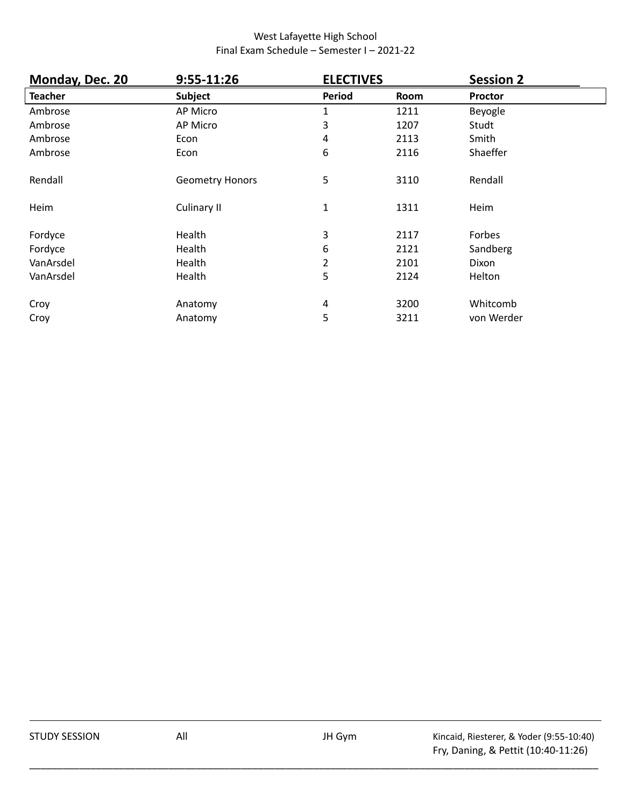| Monday, Dec. 20 | 9:55-11:26             | <b>ELECTIVES</b> |      | <b>Session 2</b> |
|-----------------|------------------------|------------------|------|------------------|
| <b>Teacher</b>  | <b>Subject</b>         | <b>Period</b>    | Room | <b>Proctor</b>   |
| Ambrose         | AP Micro               | 1                | 1211 | Beyogle          |
| Ambrose         | AP Micro               | 3                | 1207 | Studt            |
| Ambrose         | Econ                   | 4                | 2113 | Smith            |
| Ambrose         | Econ                   | 6                | 2116 | Shaeffer         |
| Rendall         | <b>Geometry Honors</b> | 5                | 3110 | Rendall          |
| Heim            | <b>Culinary II</b>     | $\mathbf{1}$     | 1311 | Heim             |
| Fordyce         | Health                 | 3                | 2117 | Forbes           |
| Fordyce         | Health                 | 6                | 2121 | Sandberg         |
| VanArsdel       | Health                 | 2                | 2101 | Dixon            |
| VanArsdel       | Health                 | 5                | 2124 | Helton           |
| Croy            | Anatomy                | 4                | 3200 | Whitcomb         |
| Croy            | Anatomy                | 5                | 3211 | von Werder       |

\_\_\_\_\_\_\_\_\_\_\_\_\_\_\_\_\_\_\_\_\_\_\_\_\_\_\_\_\_\_\_\_\_\_\_\_\_\_\_\_\_\_\_\_\_\_\_\_\_\_\_\_\_\_\_\_\_\_\_\_\_\_\_\_\_\_\_\_\_\_\_\_\_\_\_\_\_\_\_\_\_\_\_\_\_\_\_\_\_\_\_\_\_\_\_\_\_\_\_\_\_\_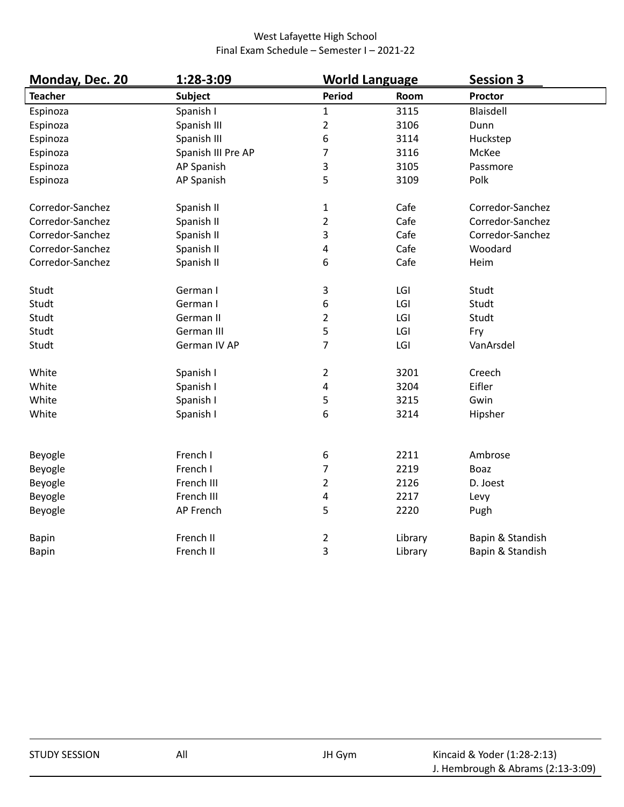| Monday, Dec. 20  | 1:28-3:09          | <b>World Language</b> |         | <b>Session 3</b> |
|------------------|--------------------|-----------------------|---------|------------------|
| <b>Teacher</b>   | <b>Subject</b>     | <b>Period</b>         | Room    | Proctor          |
| Espinoza         | Spanish I          | $\mathbf{1}$          | 3115    | Blaisdell        |
| Espinoza         | Spanish III        | $\overline{2}$        | 3106    | Dunn             |
| Espinoza         | Spanish III        | 6                     | 3114    | Huckstep         |
| Espinoza         | Spanish III Pre AP | 7                     | 3116    | McKee            |
| Espinoza         | AP Spanish         | 3                     | 3105    | Passmore         |
| Espinoza         | AP Spanish         | 5                     | 3109    | Polk             |
| Corredor-Sanchez | Spanish II         | $\mathbf 1$           | Cafe    | Corredor-Sanchez |
| Corredor-Sanchez | Spanish II         | $\overline{2}$        | Cafe    | Corredor-Sanchez |
| Corredor-Sanchez | Spanish II         | 3                     | Cafe    | Corredor-Sanchez |
| Corredor-Sanchez | Spanish II         | 4                     | Cafe    | Woodard          |
| Corredor-Sanchez | Spanish II         | 6                     | Cafe    | Heim             |
| Studt            | German I           | 3                     | LGI     | Studt            |
| Studt            | German I           | 6                     | LGI     | Studt            |
| Studt            | German II          | 2                     | LGI     | Studt            |
| Studt            | German III         | 5                     | LGI     | Fry              |
| Studt            | German IV AP       | 7                     | LGI     | VanArsdel        |
| White            | Spanish I          | $\overline{2}$        | 3201    | Creech           |
| White            | Spanish I          | 4                     | 3204    | Eifler           |
| White            | Spanish I          | 5                     | 3215    | Gwin             |
| White            | Spanish I          | 6                     | 3214    | Hipsher          |
| Beyogle          | French I           |                       | 2211    | Ambrose          |
|                  | French I           | 6<br>7                | 2219    | <b>Boaz</b>      |
| Beyogle          | French III         | $\overline{2}$        | 2126    | D. Joest         |
| Beyogle          | French III         |                       | 2217    |                  |
| Beyogle          |                    | 4                     |         | Levy             |
| Beyogle          | AP French          | 5                     | 2220    | Pugh             |
| Bapin            | French II          | $\overline{c}$        | Library | Bapin & Standish |
| <b>Bapin</b>     | French II          | 3                     | Library | Bapin & Standish |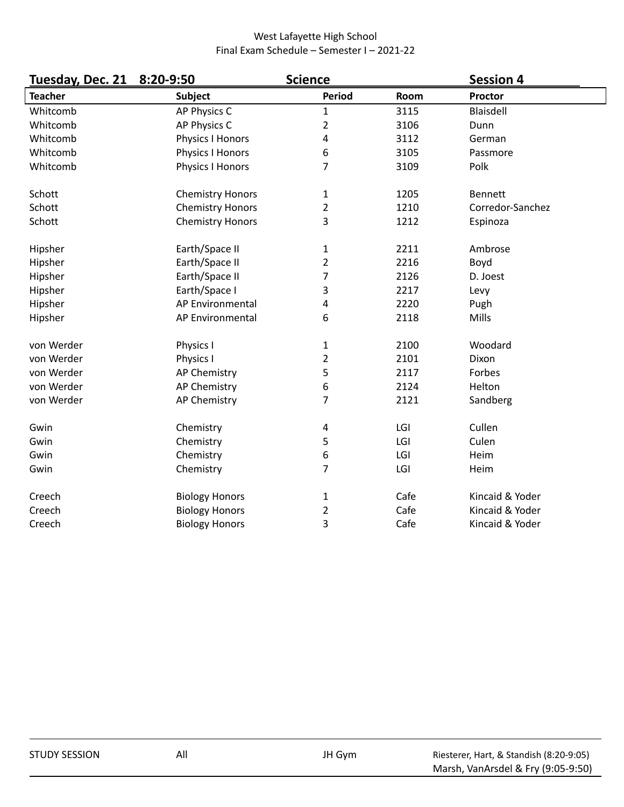| Tuesday, Dec. 21 | 8:20-9:50               | <b>Science</b> |      | <b>Session 4</b> |
|------------------|-------------------------|----------------|------|------------------|
| <b>Teacher</b>   | <b>Subject</b>          | <b>Period</b>  | Room | Proctor          |
| Whitcomb         | AP Physics C            | $\mathbf{1}$   | 3115 | Blaisdell        |
| Whitcomb         | AP Physics C            | 2              | 3106 | Dunn             |
| Whitcomb         | Physics I Honors        | 4              | 3112 | German           |
| Whitcomb         | Physics I Honors        | 6              | 3105 | Passmore         |
| Whitcomb         | Physics I Honors        | 7              | 3109 | Polk             |
| Schott           | <b>Chemistry Honors</b> | $\mathbf{1}$   | 1205 | <b>Bennett</b>   |
| Schott           | <b>Chemistry Honors</b> | 2              | 1210 | Corredor-Sanchez |
| Schott           | <b>Chemistry Honors</b> | 3              | 1212 | Espinoza         |
| Hipsher          | Earth/Space II          | $\mathbf{1}$   | 2211 | Ambrose          |
| Hipsher          | Earth/Space II          | 2              | 2216 | Boyd             |
| Hipsher          | Earth/Space II          | 7              | 2126 | D. Joest         |
| Hipsher          | Earth/Space I           | 3              | 2217 | Levy             |
| Hipsher          | AP Environmental        | 4              | 2220 | Pugh             |
| Hipsher          | AP Environmental        | 6              | 2118 | Mills            |
| von Werder       | Physics I               | 1              | 2100 | Woodard          |
| von Werder       | Physics I               | 2              | 2101 | Dixon            |
| von Werder       | <b>AP Chemistry</b>     | 5              | 2117 | Forbes           |
| von Werder       | <b>AP Chemistry</b>     | 6              | 2124 | Helton           |
| von Werder       | <b>AP Chemistry</b>     | 7              | 2121 | Sandberg         |
| Gwin             | Chemistry               | 4              | LGI  | Cullen           |
| Gwin             | Chemistry               | 5              | LGI  | Culen            |
| Gwin             | Chemistry               | 6              | LGI  | Heim             |
| Gwin             | Chemistry               | 7              | LGI  | Heim             |
| Creech           | <b>Biology Honors</b>   | $\mathbf 1$    | Cafe | Kincaid & Yoder  |
| Creech           | <b>Biology Honors</b>   | 2              | Cafe | Kincaid & Yoder  |
| Creech           | <b>Biology Honors</b>   | 3              | Cafe | Kincaid & Yoder  |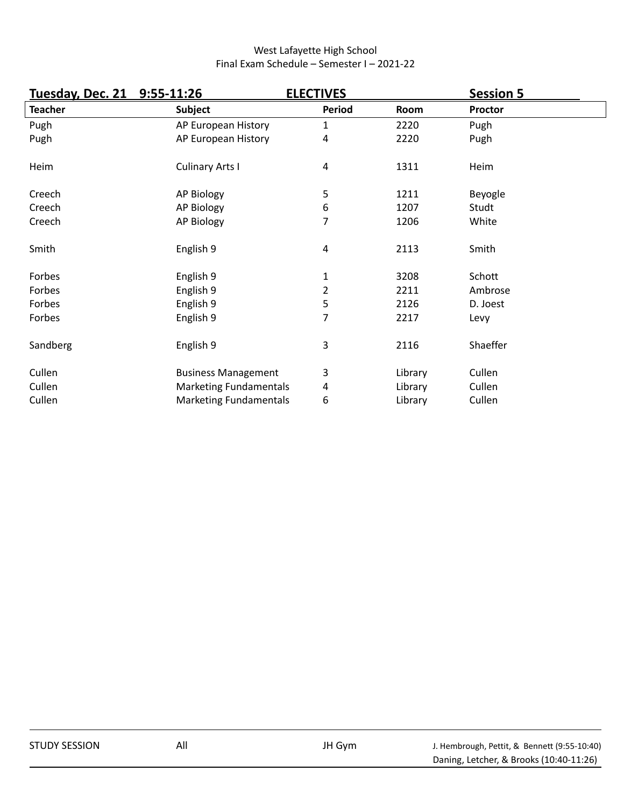| Tuesday, Dec. 21 9:55-11:26 |                               | <b>ELECTIVES</b> |         | <b>Session 5</b> |  |
|-----------------------------|-------------------------------|------------------|---------|------------------|--|
| <b>Teacher</b>              | <b>Subject</b>                | Period           | Room    | Proctor          |  |
| Pugh                        | AP European History           | 1                | 2220    | Pugh             |  |
| Pugh                        | AP European History           | 4                | 2220    | Pugh             |  |
| Heim                        | <b>Culinary Arts I</b>        | $\overline{4}$   | 1311    | Heim             |  |
| Creech                      | AP Biology                    | 5                | 1211    | Beyogle          |  |
| Creech                      | AP Biology                    | 6                | 1207    | Studt            |  |
| Creech                      | AP Biology                    | 7                | 1206    | White            |  |
| Smith                       | English 9                     | $\overline{4}$   | 2113    | Smith            |  |
| Forbes                      | English 9                     | 1                | 3208    | Schott           |  |
| Forbes                      | English 9                     | 2                | 2211    | Ambrose          |  |
| Forbes                      | English 9                     | 5                | 2126    | D. Joest         |  |
| Forbes                      | English 9                     | 7                | 2217    | Levy             |  |
| Sandberg                    | English 9                     | 3                | 2116    | Shaeffer         |  |
| Cullen                      | <b>Business Management</b>    | 3                | Library | Cullen           |  |
| Cullen                      | <b>Marketing Fundamentals</b> | 4                | Library | Cullen           |  |
| Cullen                      | <b>Marketing Fundamentals</b> | 6                | Library | Cullen           |  |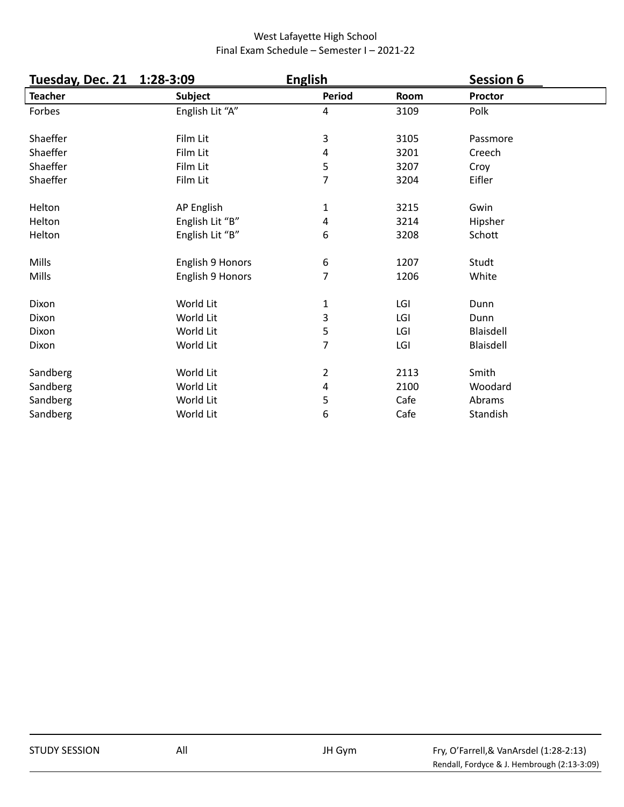| Tuesday, Dec. 21 | 1:28-3:09        | <b>English</b>   |      | <b>Session 6</b> |  |
|------------------|------------------|------------------|------|------------------|--|
| <b>Teacher</b>   | <b>Subject</b>   | Period           | Room | Proctor          |  |
| Forbes           | English Lit "A"  | 4                | 3109 | Polk             |  |
| Shaeffer         | Film Lit         | 3                | 3105 | Passmore         |  |
| Shaeffer         | Film Lit         | 4                | 3201 | Creech           |  |
| Shaeffer         | Film Lit         | 5                | 3207 | Croy             |  |
| Shaeffer         | Film Lit         | $\overline{7}$   | 3204 | Eifler           |  |
| Helton           | AP English       | 1                | 3215 | Gwin             |  |
| Helton           | English Lit "B"  | 4                | 3214 | Hipsher          |  |
| Helton           | English Lit "B"  | 6                | 3208 | Schott           |  |
| Mills            | English 9 Honors | $\boldsymbol{6}$ | 1207 | Studt            |  |
| Mills            | English 9 Honors | 7                | 1206 | White            |  |
| Dixon            | World Lit        | 1                | LGI  | Dunn             |  |
| Dixon            | World Lit        | 3                | LGI  | Dunn             |  |
| Dixon            | World Lit        | 5                | LGI  | Blaisdell        |  |
| Dixon            | World Lit        | 7                | LGI  | <b>Blaisdell</b> |  |
| Sandberg         | World Lit        | $\overline{2}$   | 2113 | Smith            |  |
| Sandberg         | World Lit        | 4                | 2100 | Woodard          |  |
| Sandberg         | World Lit        | 5                | Cafe | Abrams           |  |
| Sandberg         | World Lit        | 6                | Cafe | Standish         |  |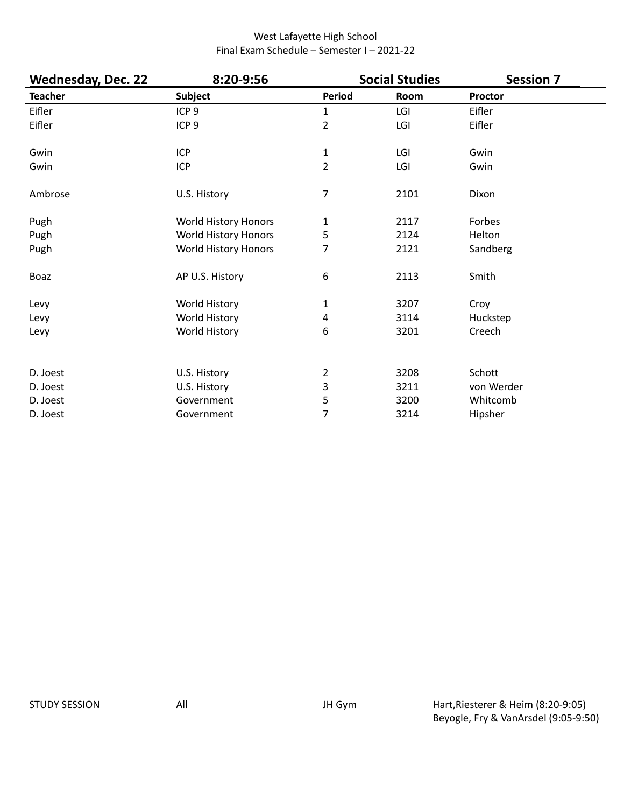| <b>Wednesday, Dec. 22</b> | 8:20-9:56                    |                | <b>Social Studies</b> | <b>Session 7</b> |
|---------------------------|------------------------------|----------------|-----------------------|------------------|
| <b>Teacher</b>            | <b>Subject</b>               | <b>Period</b>  | Room                  | Proctor          |
| Eifler                    | ICP <sub>9</sub>             | $\mathbf{1}$   | LGI                   | Eifler           |
| Eifler                    | ICP <sub>9</sub>             | 2              | LGI                   | Eifler           |
| Gwin                      | <b>ICP</b>                   | 1              | LGI                   | Gwin             |
| Gwin                      | ICP                          | $\overline{2}$ | LGI                   | Gwin             |
| Ambrose                   | U.S. History                 | 7              | 2101                  | Dixon            |
| Pugh                      | World History Honors         | 1              | 2117                  | Forbes           |
| Pugh                      | World History Honors         | 5              | 2124                  | Helton           |
| Pugh                      | World History Honors         | 7              | 2121                  | Sandberg         |
| Boaz                      | AP U.S. History              | 6              | 2113                  | Smith            |
| Levy                      | World History                | 1              | 3207                  | Croy             |
| Levy                      | World History                | 4              | 3114                  | Huckstep         |
| Levy                      | World History                | 6              | 3201                  | Creech           |
| D. Joest                  |                              | 2              | 3208                  | Schott           |
| D. Joest                  | U.S. History<br>U.S. History | 3              | 3211                  | von Werder       |
| D. Joest                  | Government                   | 5              | 3200                  | Whitcomb         |
| D. Joest                  | Government                   | 7              | 3214                  | Hipsher          |
|                           |                              |                |                       |                  |

| <b>STUDY SESSION</b> | All | JH Gym | Hart, Riesterer & Heim (8:20-9:05)   |
|----------------------|-----|--------|--------------------------------------|
|                      |     |        | Beyogle, Fry & VanArsdel (9:05-9:50) |